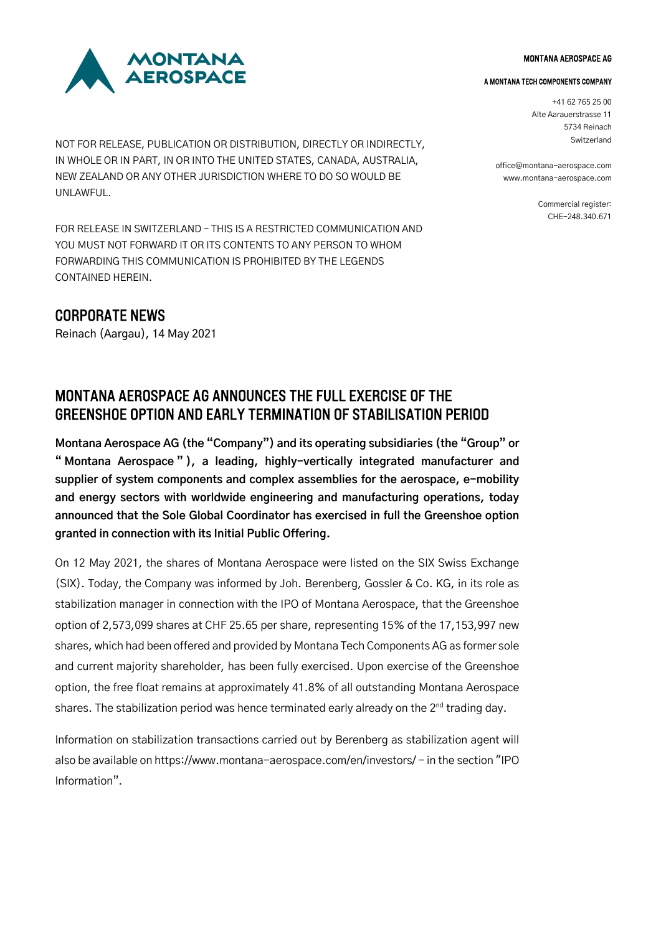

NOT FOR RELEASE, PUBLICATION OR DISTRIBUTION, DIRECTLY OR INDIRECTLY, IN WHOLE OR IN PART, IN OR INTO THE UNITED STATES, CANADA, AUSTRALIA, NEW ZEALAND OR ANY OTHER JURISDICTION WHERE TO DO SO WOULD BE UNLAWFUL.

FOR RELEASE IN SWITZERLAND – THIS IS A RESTRICTED COMMUNICATION AND YOU MUST NOT FORWARD IT OR ITS CONTENTS TO ANY PERSON TO WHOM FORWARDING THIS COMMUNICATION IS PROHIBITED BY THE LEGENDS CONTAINED HEREIN.

## CORPORATE NEWS

Reinach (Aargau), 14 May 2021

### MONTANA AEROSPACE AG

### A MONTANA TECH COMPONENTS COMPANY

+41 62 765 25 00 Alte Aarauerstrasse 11 5734 Reinach Switzerland

office@montana-aerospace.com www.montana-aerospace.com

> Commercial register: CHE-248.340.671

# MONTANA AFROSPACE AG ANNOUNCES THE FULL EXERCISE OF THE GREENSHOE OPTION AND EARLY TERMINATION OF STABILISATION PERIOD

**Montana Aerospace AG (the "Company") and its operating subsidiaries (the "Group" or " Montana Aerospace " ), a leading, highly-vertically integrated manufacturer and supplier of system components and complex assemblies for the aerospace, e-mobility and energy sectors with worldwide engineering and manufacturing operations, today announced that the Sole Global Coordinator has exercised in full the Greenshoe option granted in connection with its Initial Public Offering.**

On 12 May 2021, the shares of Montana Aerospace were listed on the SIX Swiss Exchange (SIX). Today, the Company was informed by Joh. Berenberg, Gossler & Co. KG, in its role as stabilization manager in connection with the IPO of Montana Aerospace, that the Greenshoe option of 2,573,099 shares at CHF 25.65 per share, representing 15% of the 17,153,997 new shares, which had been offered and provided by Montana Tech Components AG as former sole and current majority shareholder, has been fully exercised. Upon exercise of the Greenshoe option, the free float remains at approximately 41.8% of all outstanding Montana Aerospace shares. The stabilization period was hence terminated early already on the  $2<sup>nd</sup>$  trading day.

Information on stabilization transactions carried out by Berenberg as stabilization agent will also be available o[n https://www.montana-aerospace.com/en/investors/](https://www.montana-aerospace.com/en/investors/) - in the section "IPO Information".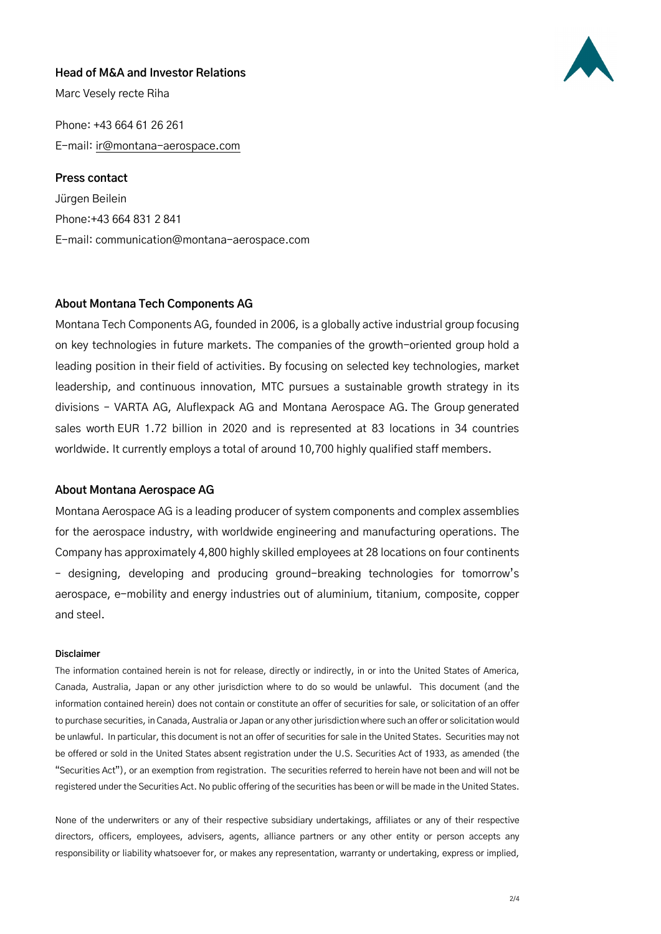## **Head of M&A and Investor Relations**

Marc Vesely recte Riha

Phone: +43 664 61 26 261 E-mail: [ir@montana-aerospace.com](mailto:ir@montana-aerospace.com)

**Press contact** Jürgen Beilein Phone:+43 664 831 2 841 E-mail: [communication@montana-aerospace.com](mailto:communication@montana-aerospace.com)

## **About Montana Tech Components AG**

Montana Tech Components AG, founded in 2006, is a globally active industrial group focusing on key technologies in future markets. The companies of the growth-oriented group hold a leading position in their field of activities. By focusing on selected key technologies, market leadership, and continuous innovation, MTC pursues a sustainable growth strategy in its divisions – VARTA AG, Aluflexpack AG and Montana Aerospace AG. The Group generated sales worth EUR 1.72 billion in 2020 and is represented at 83 locations in 34 countries worldwide. It currently employs a total of around 10,700 highly qualified staff members.

## **About Montana Aerospace AG**

Montana Aerospace AG is a leading producer of system components and complex assemblies for the aerospace industry, with worldwide engineering and manufacturing operations. The Company has approximately 4,800 highly skilled employees at 28 locations on four continents – designing, developing and producing ground-breaking technologies for tomorrow's aerospace, e-mobility and energy industries out of aluminium, titanium, composite, copper and steel.

#### **Disclaimer**

The information contained herein is not for release, directly or indirectly, in or into the United States of America, Canada, Australia, Japan or any other jurisdiction where to do so would be unlawful. This document (and the information contained herein) does not contain or constitute an offer of securities for sale, or solicitation of an offer to purchase securities, in Canada, Australia or Japan or any other jurisdiction where such an offer or solicitation would be unlawful. In particular, this document is not an offer of securities for sale in the United States. Securities may not be offered or sold in the United States absent registration under the U.S. Securities Act of 1933, as amended (the "Securities Act"), or an exemption from registration. The securities referred to herein have not been and will not be registered under the Securities Act. No public offering of the securities has been or will be made in the United States.

None of the underwriters or any of their respective subsidiary undertakings, affiliates or any of their respective directors, officers, employees, advisers, agents, alliance partners or any other entity or person accepts any responsibility or liability whatsoever for, or makes any representation, warranty or undertaking, express or implied,

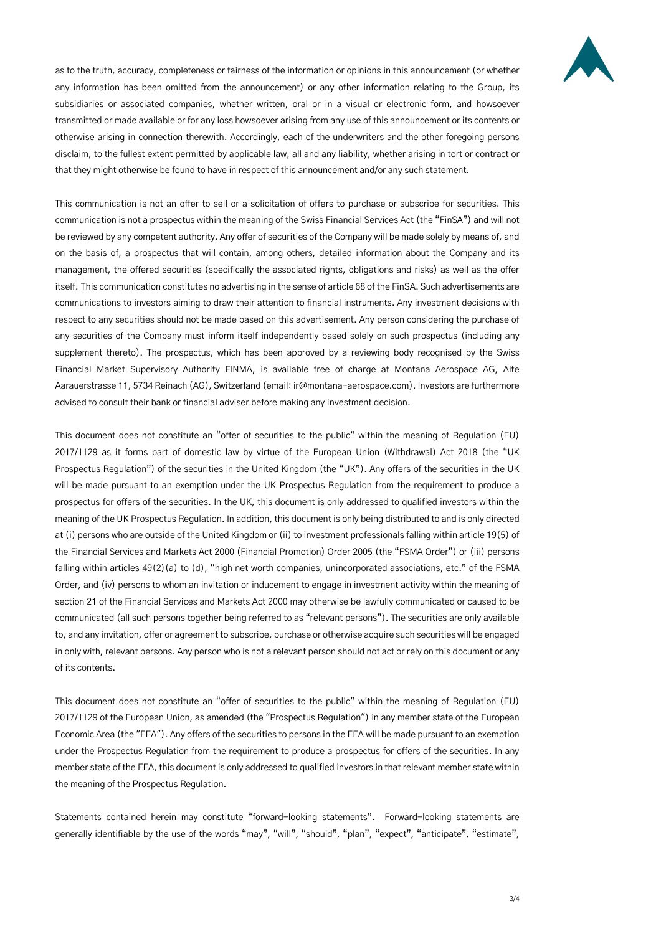

as to the truth, accuracy, completeness or fairness of the information or opinions in this announcement (or whether any information has been omitted from the announcement) or any other information relating to the Group, its subsidiaries or associated companies, whether written, oral or in a visual or electronic form, and howsoever transmitted or made available or for any loss howsoever arising from any use of this announcement or its contents or otherwise arising in connection therewith. Accordingly, each of the underwriters and the other foregoing persons disclaim, to the fullest extent permitted by applicable law, all and any liability, whether arising in tort or contract or that they might otherwise be found to have in respect of this announcement and/or any such statement.

This communication is not an offer to sell or a solicitation of offers to purchase or subscribe for securities. This communication is not a prospectus within the meaning of the Swiss Financial Services Act (the "FinSA") and will not be reviewed by any competent authority. Any offer of securities of the Company will be made solely by means of, and on the basis of, a prospectus that will contain, among others, detailed information about the Company and its management, the offered securities (specifically the associated rights, obligations and risks) as well as the offer itself. This communication constitutes no advertising in the sense of article 68 of the FinSA. Such advertisements are communications to investors aiming to draw their attention to financial instruments. Any investment decisions with respect to any securities should not be made based on this advertisement. Any person considering the purchase of any securities of the Company must inform itself independently based solely on such prospectus (including any supplement thereto). The prospectus, which has been approved by a reviewing body recognised by the Swiss Financial Market Supervisory Authority FINMA, is available free of charge at Montana Aerospace AG, Alte Aarauerstrasse 11, 5734 Reinach (AG), Switzerland (email[: ir@montana-aerospace.com\)](mailto:ir@montana-aerospace.com). Investors are furthermore advised to consult their bank or financial adviser before making any investment decision.

This document does not constitute an "offer of securities to the public" within the meaning of Regulation (EU) 2017/1129 as it forms part of domestic law by virtue of the European Union (Withdrawal) Act 2018 (the "UK Prospectus Regulation") of the securities in the United Kingdom (the "UK"). Any offers of the securities in the UK will be made pursuant to an exemption under the UK Prospectus Regulation from the requirement to produce a prospectus for offers of the securities. In the UK, this document is only addressed to qualified investors within the meaning of the UK Prospectus Regulation. In addition, this document is only being distributed to and is only directed at (i) persons who are outside of the United Kingdom or (ii) to investment professionals falling within article 19(5) of the Financial Services and Markets Act 2000 (Financial Promotion) Order 2005 (the "FSMA Order") or (iii) persons falling within articles 49(2)(a) to (d), "high net worth companies, unincorporated associations, etc." of the FSMA Order, and (iv) persons to whom an invitation or inducement to engage in investment activity within the meaning of section 21 of the Financial Services and Markets Act 2000 may otherwise be lawfully communicated or caused to be communicated (all such persons together being referred to as "relevant persons"). The securities are only available to, and any invitation, offer or agreement to subscribe, purchase or otherwise acquire such securities will be engaged in only with, relevant persons. Any person who is not a relevant person should not act or rely on this document or any of its contents.

This document does not constitute an "offer of securities to the public" within the meaning of Regulation (EU) 2017/1129 of the European Union, as amended (the "Prospectus Regulation") in any member state of the European Economic Area (the "EEA"). Any offers of the securities to persons in the EEA will be made pursuant to an exemption under the Prospectus Regulation from the requirement to produce a prospectus for offers of the securities. In any member state of the EEA, this document is only addressed to qualified investors in that relevant member state within the meaning of the Prospectus Regulation.

Statements contained herein may constitute "forward-looking statements". Forward-looking statements are generally identifiable by the use of the words "may", "will", "should", "plan", "expect", "anticipate", "estimate",